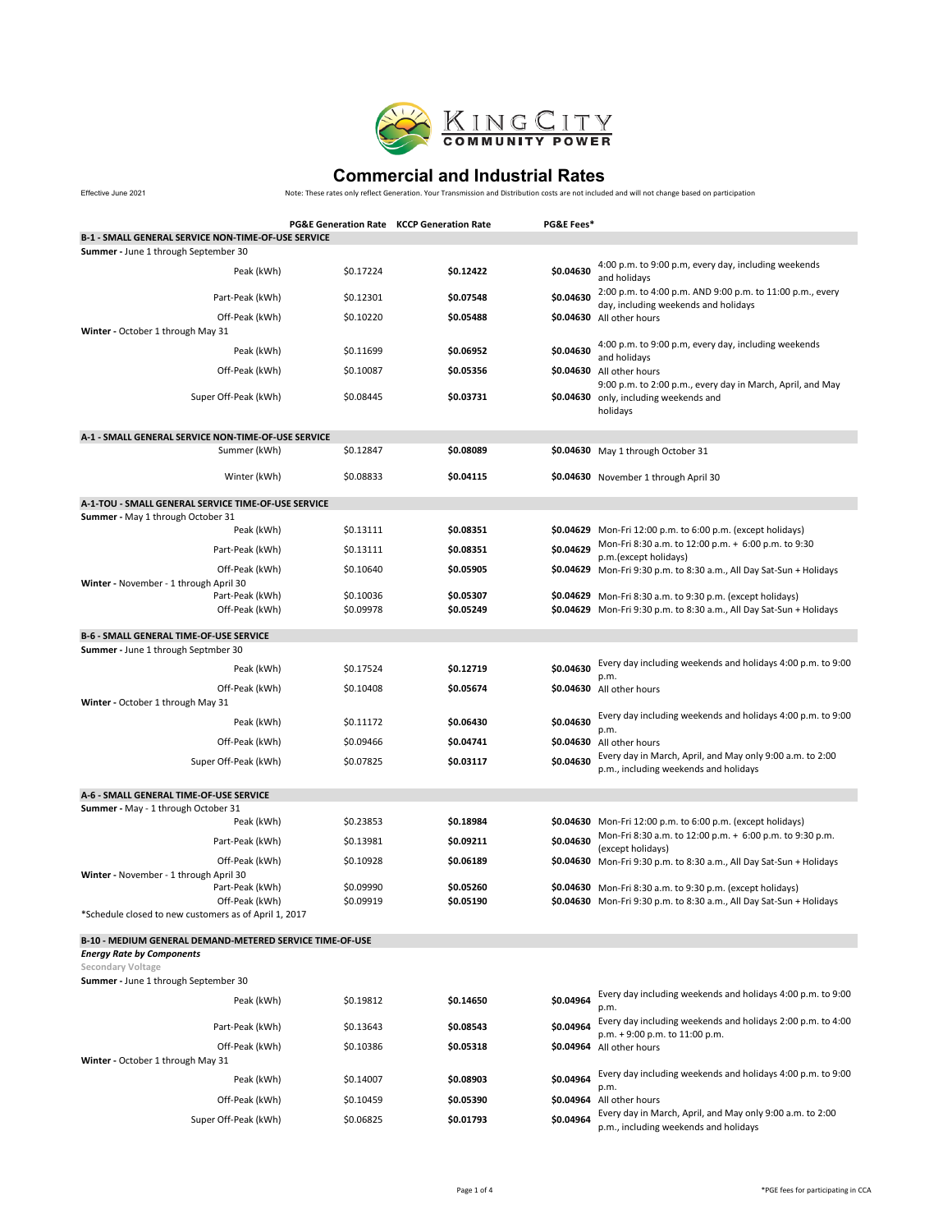

Effective June 2021

|                                                                                               | <b>PG&amp;E Generation Rate KCCP Generation Rate</b> |                        | PG&E Fees* |                                                                                                                                    |  |
|-----------------------------------------------------------------------------------------------|------------------------------------------------------|------------------------|------------|------------------------------------------------------------------------------------------------------------------------------------|--|
| B-1 - SMALL GENERAL SERVICE NON-TIME-OF-USE SERVICE                                           |                                                      |                        |            |                                                                                                                                    |  |
| Summer - June 1 through September 30                                                          |                                                      |                        |            |                                                                                                                                    |  |
| Peak (kWh)                                                                                    | \$0.17224                                            | \$0.12422              | \$0.04630  | 4:00 p.m. to 9:00 p.m, every day, including weekends<br>and holidays                                                               |  |
| Part-Peak (kWh)                                                                               | \$0.12301                                            | \$0.07548              | \$0.04630  | 2:00 p.m. to 4:00 p.m. AND 9:00 p.m. to 11:00 p.m., every<br>day, including weekends and holidays                                  |  |
| Off-Peak (kWh)<br>Winter - October 1 through May 31                                           | \$0.10220                                            | \$0.05488              |            | \$0.04630 All other hours                                                                                                          |  |
| Peak (kWh)                                                                                    | \$0.11699                                            | \$0.06952              | \$0.04630  | 4:00 p.m. to 9:00 p.m, every day, including weekends<br>and holidays                                                               |  |
| Off-Peak (kWh)                                                                                | \$0.10087                                            | \$0.05356              |            | \$0.04630 All other hours<br>9:00 p.m. to 2:00 p.m., every day in March, April, and May                                            |  |
| Super Off-Peak (kWh)                                                                          | \$0.08445                                            | \$0.03731              |            | \$0.04630 only, including weekends and<br>holidays                                                                                 |  |
| A-1 - SMALL GENERAL SERVICE NON-TIME-OF-USE SERVICE                                           |                                                      |                        |            |                                                                                                                                    |  |
| Summer (kWh)                                                                                  | \$0.12847                                            | \$0.08089              |            | \$0.04630 May 1 through October 31                                                                                                 |  |
| Winter (kWh)                                                                                  | \$0.08833                                            | \$0.04115              |            | \$0.04630 November 1 through April 30                                                                                              |  |
| A-1-TOU - SMALL GENERAL SERVICE TIME-OF-USE SERVICE                                           |                                                      |                        |            |                                                                                                                                    |  |
| <b>Summer</b> - May 1 through October 31                                                      |                                                      |                        |            |                                                                                                                                    |  |
| Peak (kWh)                                                                                    | \$0.13111                                            | \$0.08351              |            | \$0.04629 Mon-Fri 12:00 p.m. to 6:00 p.m. (except holidays)                                                                        |  |
| Part-Peak (kWh)                                                                               | \$0.13111                                            | \$0.08351              | \$0.04629  | Mon-Fri 8:30 a.m. to 12:00 p.m. + 6:00 p.m. to 9:30<br>p.m.(except holidays)                                                       |  |
| Off-Peak (kWh)<br>Winter - November - 1 through April 30                                      | \$0.10640                                            | \$0.05905              |            | \$0.04629 Mon-Fri 9:30 p.m. to 8:30 a.m., All Day Sat-Sun + Holidays                                                               |  |
| Part-Peak (kWh)<br>Off-Peak (kWh)                                                             | \$0.10036<br>\$0.09978                               | \$0.05307<br>\$0.05249 |            | \$0.04629 Mon-Fri 8:30 a.m. to 9:30 p.m. (except holidays)<br>\$0.04629 Mon-Fri 9:30 p.m. to 8:30 a.m., All Day Sat-Sun + Holidays |  |
| <b>B-6 - SMALL GENERAL TIME-OF-USE SERVICE</b>                                                |                                                      |                        |            |                                                                                                                                    |  |
| Summer - June 1 through Septmber 30                                                           |                                                      |                        |            |                                                                                                                                    |  |
| Peak (kWh)                                                                                    | \$0.17524                                            | \$0.12719              | \$0.04630  | Every day including weekends and holidays 4:00 p.m. to 9:00<br>p.m.                                                                |  |
| Off-Peak (kWh)<br>Winter - October 1 through May 31                                           | \$0.10408                                            | \$0.05674              |            | \$0.04630 All other hours                                                                                                          |  |
| Peak (kWh)                                                                                    | \$0.11172                                            | \$0.06430              | \$0.04630  | Every day including weekends and holidays 4:00 p.m. to 9:00<br>p.m.                                                                |  |
| Off-Peak (kWh)                                                                                | \$0.09466                                            | \$0.04741              |            | \$0.04630 All other hours                                                                                                          |  |
| Super Off-Peak (kWh)                                                                          | \$0.07825                                            | \$0.03117              | \$0.04630  | Every day in March, April, and May only 9:00 a.m. to 2:00<br>p.m., including weekends and holidays                                 |  |
|                                                                                               |                                                      |                        |            |                                                                                                                                    |  |
| A-6 - SMALL GENERAL TIME-OF-USE SERVICE<br><b>Summer</b> - May - 1 through October 31         |                                                      |                        |            |                                                                                                                                    |  |
| Peak (kWh)                                                                                    | \$0.23853                                            | \$0.18984              |            | \$0.04630 Mon-Fri 12:00 p.m. to 6:00 p.m. (except holidays)<br>Mon-Fri 8:30 a.m. to 12:00 p.m. + 6:00 p.m. to 9:30 p.m.            |  |
| Part-Peak (kWh)                                                                               | \$0.13981                                            | \$0.09211              | \$0.04630  | (except holidays)                                                                                                                  |  |
| Off-Peak (kWh)<br>Winter - November - 1 through April 30                                      | \$0.10928                                            | \$0.06189              |            | \$0.04630 Mon-Fri 9:30 p.m. to 8:30 a.m., All Day Sat-Sun + Holidays                                                               |  |
| Part-Peak (kWh)                                                                               | \$0.09990                                            | \$0.05260              |            | \$0.04630 Mon-Fri 8:30 a.m. to 9:30 p.m. (except holidays)                                                                         |  |
| Off-Peak (kWh)<br>*Schedule closed to new customers as of April 1, 2017                       | \$0.09919                                            | \$0.05190              |            | \$0.04630 Mon-Fri 9:30 p.m. to 8:30 a.m., All Day Sat-Sun + Holidays                                                               |  |
| B-10 - MEDIUM GENERAL DEMAND-METERED SERVICE TIME-OF-USE                                      |                                                      |                        |            |                                                                                                                                    |  |
| <b>Energy Rate by Components</b><br>Secondary Voltage<br>Summer - June 1 through September 30 |                                                      |                        |            |                                                                                                                                    |  |
| Peak (kWh)                                                                                    | \$0.19812                                            | \$0.14650              | \$0.04964  | Every day including weekends and holidays 4:00 p.m. to 9:00<br>p.m.                                                                |  |
| Part-Peak (kWh)                                                                               | \$0.13643                                            | \$0.08543              | \$0.04964  | Every day including weekends and holidays 2:00 p.m. to 4:00<br>p.m. + 9:00 p.m. to 11:00 p.m.                                      |  |
| Off-Peak (kWh)<br>Winter - October 1 through May 31                                           | \$0.10386                                            | \$0.05318              |            | \$0.04964 All other hours                                                                                                          |  |
| Peak (kWh)                                                                                    | \$0.14007                                            | \$0.08903              | \$0.04964  | Every day including weekends and holidays 4:00 p.m. to 9:00                                                                        |  |
|                                                                                               |                                                      |                        |            | p.m.                                                                                                                               |  |
| Off-Peak (kWh)                                                                                | \$0.10459                                            | \$0.05390              |            | \$0.04964 All other hours<br>Every day in March, April, and May only 9:00 a.m. to 2:00                                             |  |
| Super Off-Peak (kWh)                                                                          | \$0.06825                                            | \$0.01793              | \$0.04964  | p.m., including weekends and holidays                                                                                              |  |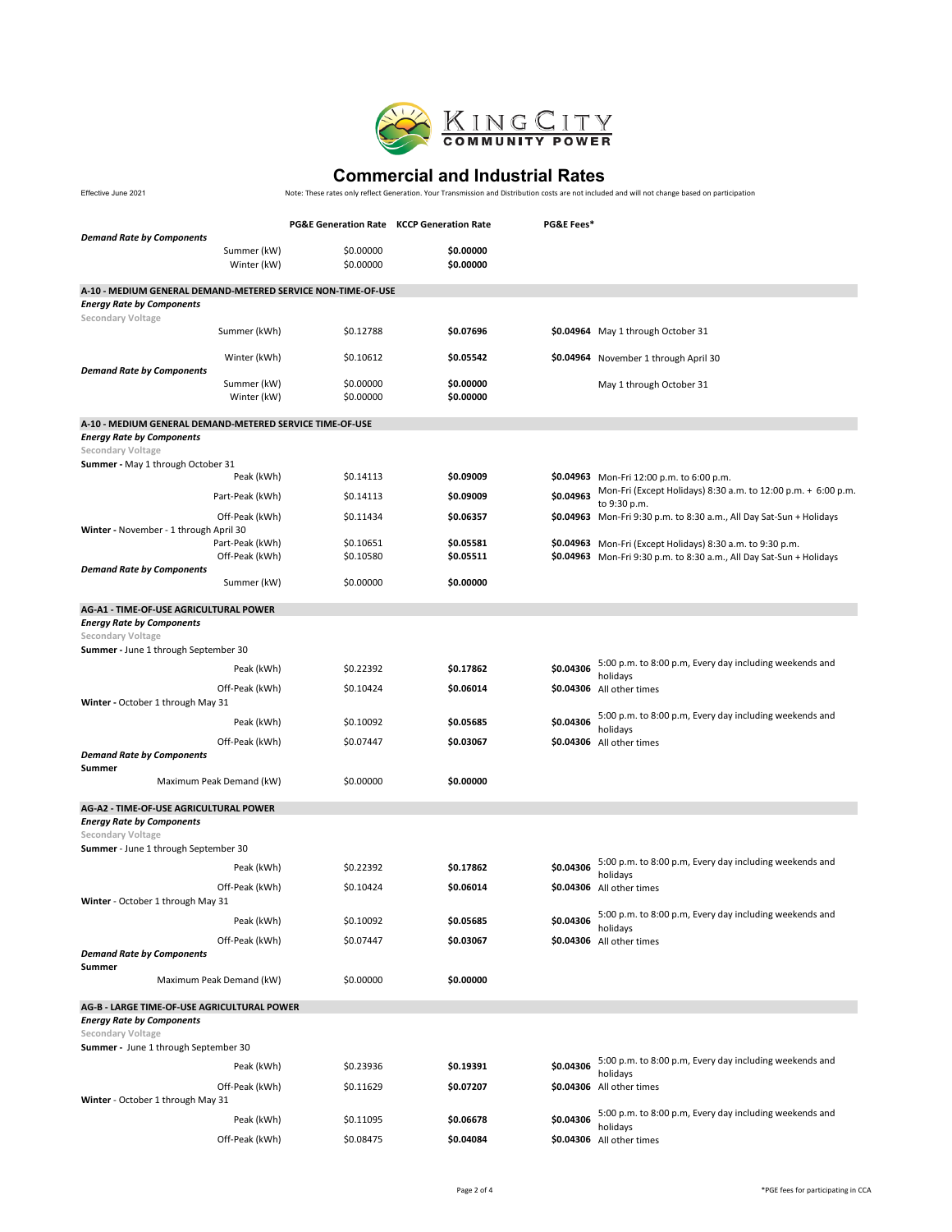

Effective June 2021

|                                                                  | <b>PG&amp;E Generation Rate KCCP Generation Rate</b> |           | PG&E Fees* |                                                                                      |
|------------------------------------------------------------------|------------------------------------------------------|-----------|------------|--------------------------------------------------------------------------------------|
| <b>Demand Rate by Components</b>                                 |                                                      |           |            |                                                                                      |
| Summer (kW)                                                      | \$0.00000                                            | \$0.00000 |            |                                                                                      |
| Winter (kW)                                                      | \$0.00000                                            | \$0.00000 |            |                                                                                      |
| A-10 - MEDIUM GENERAL DEMAND-METERED SERVICE NON-TIME-OF-USE     |                                                      |           |            |                                                                                      |
| <b>Energy Rate by Components</b><br>Secondary Voltage            |                                                      |           |            |                                                                                      |
| Summer (kWh)                                                     | \$0.12788                                            | \$0.07696 |            | \$0.04964 May 1 through October 31                                                   |
| Winter (kWh)<br><b>Demand Rate by Components</b>                 | \$0.10612                                            | \$0.05542 |            | \$0.04964 November 1 through April 30                                                |
| Summer (kW)                                                      | \$0.00000                                            | \$0.00000 |            | May 1 through October 31                                                             |
| Winter (kW)                                                      | \$0.00000                                            | \$0.00000 |            |                                                                                      |
| A-10 - MEDIUM GENERAL DEMAND-METERED SERVICE TIME-OF-USE         |                                                      |           |            |                                                                                      |
| <b>Energy Rate by Components</b><br>Secondary Voltage            |                                                      |           |            |                                                                                      |
| Summer - May 1 through October 31                                |                                                      |           |            |                                                                                      |
| Peak (kWh)                                                       | \$0.14113                                            | \$0.09009 |            | \$0.04963 Mon-Fri 12:00 p.m. to 6:00 p.m.                                            |
| Part-Peak (kWh)                                                  | \$0.14113                                            | \$0.09009 | \$0.04963  | Mon-Fri (Except Holidays) 8:30 a.m. to 12:00 p.m. + 6:00 p.m.                        |
| Off-Peak (kWh)                                                   | \$0.11434                                            | \$0.06357 |            | to 9:30 p.m.<br>\$0.04963 Mon-Fri 9:30 p.m. to 8:30 a.m., All Day Sat-Sun + Holidays |
| Winter - November - 1 through April 30                           |                                                      |           |            |                                                                                      |
| Part-Peak (kWh)                                                  | \$0.10651                                            | \$0.05581 |            | \$0.04963 Mon-Fri (Except Holidays) 8:30 a.m. to 9:30 p.m.                           |
| Off-Peak (kWh)                                                   | \$0.10580                                            | \$0.05511 |            | \$0.04963 Mon-Fri 9:30 p.m. to 8:30 a.m., All Day Sat-Sun + Holidays                 |
| <b>Demand Rate by Components</b><br>Summer (kW)                  | \$0.00000                                            | \$0.00000 |            |                                                                                      |
|                                                                  |                                                      |           |            |                                                                                      |
| AG-A1 - TIME-OF-USE AGRICULTURAL POWER                           |                                                      |           |            |                                                                                      |
| <b>Energy Rate by Components</b>                                 |                                                      |           |            |                                                                                      |
| Secondary Voltage                                                |                                                      |           |            |                                                                                      |
| Summer - June 1 through September 30                             |                                                      |           |            | 5:00 p.m. to 8:00 p.m, Every day including weekends and                              |
| Peak (kWh)                                                       | \$0.22392                                            | \$0.17862 | \$0.04306  | holidays                                                                             |
| Off-Peak (kWh)<br>Winter - October 1 through May 31              | \$0.10424                                            | \$0.06014 |            | \$0.04306 All other times                                                            |
| Peak (kWh)                                                       | \$0.10092                                            | \$0.05685 | \$0.04306  | 5:00 p.m. to 8:00 p.m, Every day including weekends and                              |
|                                                                  |                                                      |           |            | holidays                                                                             |
| Off-Peak (kWh)<br><b>Demand Rate by Components</b><br>Summer     | \$0.07447                                            | \$0.03067 |            | \$0.04306 All other times                                                            |
| Maximum Peak Demand (kW)                                         | \$0.00000                                            | \$0.00000 |            |                                                                                      |
| AG-A2 - TIME-OF-USE AGRICULTURAL POWER                           |                                                      |           |            |                                                                                      |
| <b>Energy Rate by Components</b><br>Secondary Voltage            |                                                      |           |            |                                                                                      |
| Summer - June 1 through September 30                             |                                                      |           |            |                                                                                      |
| Peak (kWh)                                                       | \$0.22392                                            | \$0.17862 | \$0.04306  | 5:00 p.m. to 8:00 p.m, Every day including weekends and                              |
| Off-Peak (kWh)                                                   | \$0.10424                                            | \$0.06014 |            | holidays<br>\$0.04306 All other times                                                |
| Winter - October 1 through May 31                                |                                                      |           |            |                                                                                      |
| Peak (kWh)                                                       | \$0.10092                                            | \$0.05685 | \$0.04306  | 5:00 p.m. to 8:00 p.m, Every day including weekends and<br>holidays                  |
| Off-Peak (kWh)                                                   | \$0.07447                                            | \$0.03067 |            | \$0.04306 All other times                                                            |
| <b>Demand Rate by Components</b><br>Summer                       |                                                      |           |            |                                                                                      |
| Maximum Peak Demand (kW)                                         | \$0.00000                                            | \$0.00000 |            |                                                                                      |
| AG-B - LARGE TIME-OF-USE AGRICULTURAL POWER                      |                                                      |           |            |                                                                                      |
| <b>Energy Rate by Components</b>                                 |                                                      |           |            |                                                                                      |
| <b>Secondary Voltage</b><br>Summer - June 1 through September 30 |                                                      |           |            |                                                                                      |
| Peak (kWh)                                                       | \$0.23936                                            | \$0.19391 | \$0.04306  | 5:00 p.m. to 8:00 p.m, Every day including weekends and                              |
| Off-Peak (kWh)                                                   | \$0.11629                                            | \$0.07207 |            | holidays<br>\$0.04306 All other times                                                |
| Winter - October 1 through May 31                                |                                                      |           |            |                                                                                      |
| Peak (kWh)                                                       |                                                      | \$0.06678 | \$0.04306  | 5:00 p.m. to 8:00 p.m, Every day including weekends and                              |
|                                                                  | \$0.11095                                            |           |            | holidays                                                                             |
| Off-Peak (kWh)                                                   | \$0.08475                                            | \$0.04084 |            | \$0.04306 All other times                                                            |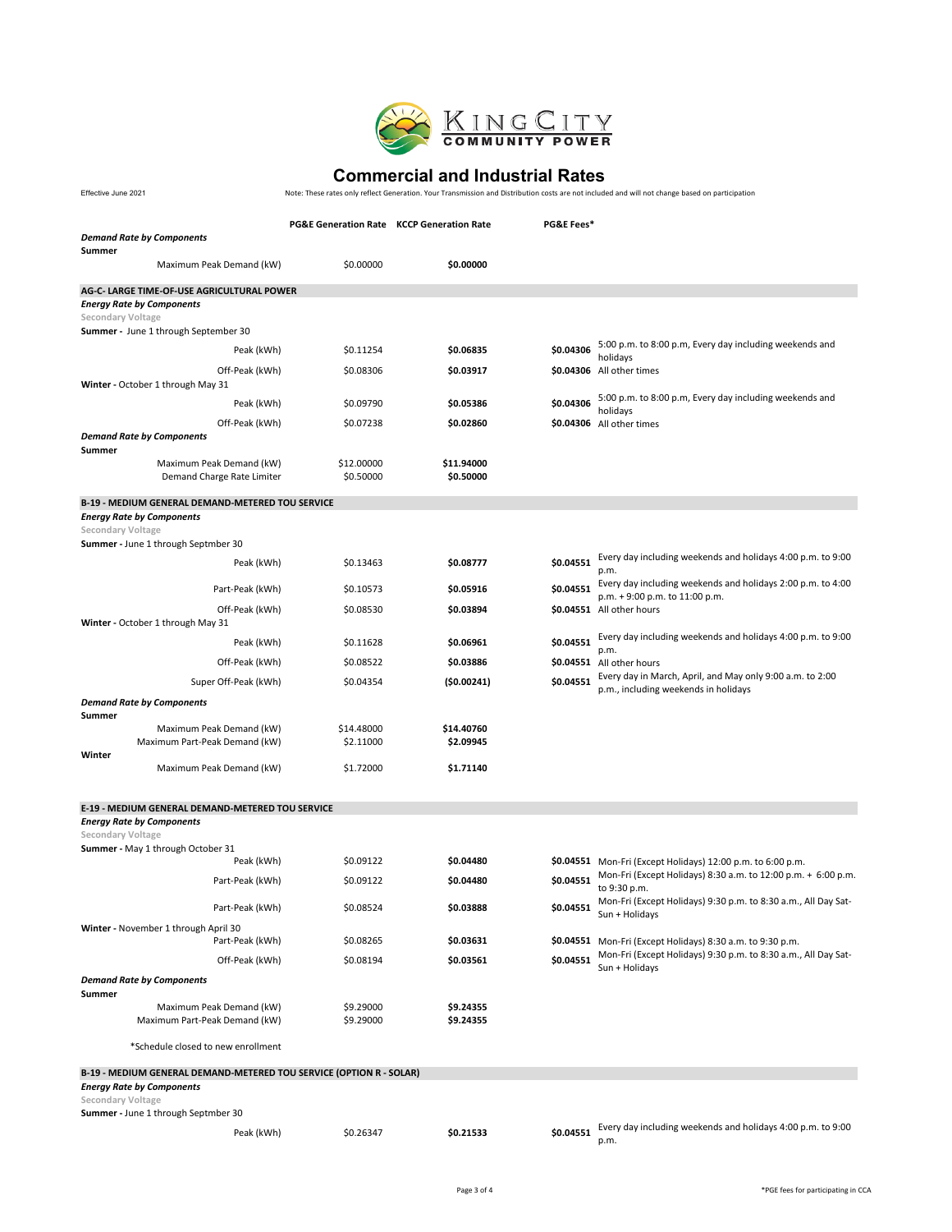

Effective June 2021

|                                                                                                            |                         | <b>PG&amp;E Generation Rate KCCP Generation Rate</b> | PG&E Fees* |                                                                                                                              |  |
|------------------------------------------------------------------------------------------------------------|-------------------------|------------------------------------------------------|------------|------------------------------------------------------------------------------------------------------------------------------|--|
| <b>Demand Rate by Components</b><br>Summer                                                                 |                         |                                                      |            |                                                                                                                              |  |
| Maximum Peak Demand (kW)                                                                                   | \$0.00000               | \$0.00000                                            |            |                                                                                                                              |  |
| AG-C- LARGE TIME-OF-USE AGRICULTURAL POWER<br><b>Energy Rate by Components</b><br><b>Secondary Voltage</b> |                         |                                                      |            |                                                                                                                              |  |
| <b>Summer</b> - June 1 through September 30                                                                |                         |                                                      |            |                                                                                                                              |  |
| Peak (kWh)                                                                                                 | \$0.11254               | \$0.06835                                            | \$0.04306  | 5:00 p.m. to 8:00 p.m, Every day including weekends and                                                                      |  |
| Off-Peak (kWh)                                                                                             | \$0.08306               | \$0.03917                                            |            | holidays<br>\$0.04306 All other times                                                                                        |  |
| Winter - October 1 through May 31                                                                          |                         |                                                      |            |                                                                                                                              |  |
| Peak (kWh)                                                                                                 | \$0.09790               | \$0.05386                                            | \$0.04306  | 5:00 p.m. to 8:00 p.m, Every day including weekends and<br>holidays                                                          |  |
| Off-Peak (kWh)                                                                                             | \$0.07238               | \$0.02860                                            |            | \$0.04306 All other times                                                                                                    |  |
| <b>Demand Rate by Components</b>                                                                           |                         |                                                      |            |                                                                                                                              |  |
| Summer<br>Maximum Peak Demand (kW)<br>Demand Charge Rate Limiter                                           | \$12.00000<br>\$0.50000 | \$11.94000<br>\$0.50000                              |            |                                                                                                                              |  |
| <b>B-19 - MEDIUM GENERAL DEMAND-METERED TOU SERVICE</b>                                                    |                         |                                                      |            |                                                                                                                              |  |
| <b>Energy Rate by Components</b>                                                                           |                         |                                                      |            |                                                                                                                              |  |
| Secondary Voltage<br><b>Summer</b> - June 1 through Septmber 30                                            |                         |                                                      |            |                                                                                                                              |  |
| Peak (kWh)                                                                                                 | \$0.13463               | \$0.08777                                            | \$0.04551  | Every day including weekends and holidays 4:00 p.m. to 9:00<br>p.m.                                                          |  |
| Part-Peak (kWh)                                                                                            | \$0.10573               | \$0.05916                                            | \$0.04551  | Every day including weekends and holidays 2:00 p.m. to 4:00                                                                  |  |
| Off-Peak (kWh)<br>Winter - October 1 through May 31                                                        | \$0.08530               | \$0.03894                                            |            | p.m. + 9:00 p.m. to 11:00 p.m.<br>\$0.04551 All other hours                                                                  |  |
| Peak (kWh)                                                                                                 | \$0.11628               | \$0.06961                                            | \$0.04551  | Every day including weekends and holidays 4:00 p.m. to 9:00                                                                  |  |
| Off-Peak (kWh)                                                                                             | \$0.08522               | \$0.03886                                            |            | p.m.<br>\$0.04551 All other hours                                                                                            |  |
| Super Off-Peak (kWh)                                                                                       | \$0.04354               | (50.00241)                                           | \$0.04551  | Every day in March, April, and May only 9:00 a.m. to 2:00                                                                    |  |
| <b>Demand Rate by Components</b>                                                                           |                         |                                                      |            | p.m., including weekends in holidays                                                                                         |  |
| Summer                                                                                                     |                         |                                                      |            |                                                                                                                              |  |
| Maximum Peak Demand (kW)                                                                                   | \$14.48000              | \$14.40760                                           |            |                                                                                                                              |  |
| Maximum Part-Peak Demand (kW)<br>Winter                                                                    | \$2.11000               | \$2.09945                                            |            |                                                                                                                              |  |
| Maximum Peak Demand (kW)                                                                                   | \$1.72000               | \$1.71140                                            |            |                                                                                                                              |  |
| E-19 - MEDIUM GENERAL DEMAND-METERED TOU SERVICE                                                           |                         |                                                      |            |                                                                                                                              |  |
| <b>Energy Rate by Components</b><br>Secondary Voltage                                                      |                         |                                                      |            |                                                                                                                              |  |
| Summer - May 1 through October 31                                                                          |                         |                                                      |            |                                                                                                                              |  |
| Peak (kWh)                                                                                                 | \$0.09122               | \$0.04480                                            |            | \$0.04551 Mon-Fri (Except Holidays) 12:00 p.m. to 6:00 p.m.<br>Mon-Fri (Except Holidays) 8:30 a.m. to 12:00 p.m. + 6:00 p.m. |  |
| Part-Peak (kWh)                                                                                            | \$0.09122               | \$0.04480                                            | \$0.04551  | to 9:30 p.m.                                                                                                                 |  |
| Part-Peak (kWh)                                                                                            | \$0.08524               | \$0.03888                                            | \$0.04551  | Mon-Fri (Except Holidays) 9:30 p.m. to 8:30 a.m., All Day Sat-<br>Sun + Holidays                                             |  |
| Winter - November 1 through April 30<br>Part-Peak (kWh)                                                    | \$0.08265               | \$0.03631                                            |            | \$0.04551 Mon-Fri (Except Holidays) 8:30 a.m. to 9:30 p.m.                                                                   |  |
| Off-Peak (kWh)                                                                                             | \$0.08194               | \$0.03561                                            | \$0.04551  | Mon-Fri (Except Holidays) 9:30 p.m. to 8:30 a.m., All Day Sat-<br>Sun + Holidays                                             |  |
| <b>Demand Rate by Components</b><br>Summer                                                                 |                         |                                                      |            |                                                                                                                              |  |
| Maximum Peak Demand (kW)                                                                                   | \$9.29000               | \$9.24355                                            |            |                                                                                                                              |  |
| Maximum Part-Peak Demand (kW)                                                                              | \$9.29000               | \$9.24355                                            |            |                                                                                                                              |  |
| *Schedule closed to new enrollment                                                                         |                         |                                                      |            |                                                                                                                              |  |
| B-19 - MEDIUM GENERAL DEMAND-METERED TOU SERVICE (OPTION R - SOLAR)                                        |                         |                                                      |            |                                                                                                                              |  |
| <b>Energy Rate by Components</b><br>Secondary Voltage                                                      |                         |                                                      |            |                                                                                                                              |  |
| Summer - June 1 through Septmber 30                                                                        |                         |                                                      |            |                                                                                                                              |  |
| Peak (kWh)                                                                                                 | \$0.26347               | \$0.21533                                            | \$0.04551  | Every day including weekends and holidays 4:00 p.m. to 9:00<br>p.m.                                                          |  |